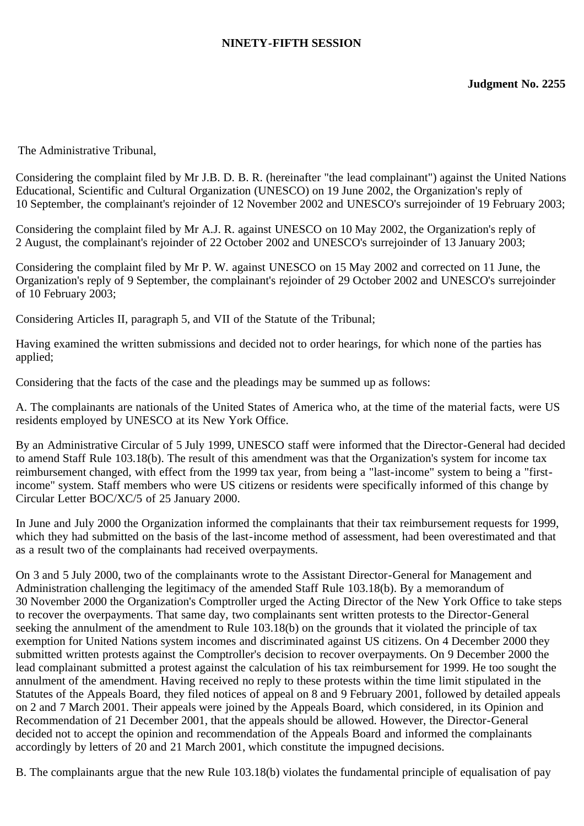# **NINETY-FIFTH SESSION**

The Administrative Tribunal,

Considering the complaint filed by Mr J.B. D. B. R. (hereinafter "the lead complainant") against the United Nations Educational, Scientific and Cultural Organization (UNESCO) on 19 June 2002, the Organization's reply of 10 September, the complainant's rejoinder of 12 November 2002 and UNESCO's surrejoinder of 19 February 2003;

Considering the complaint filed by Mr A.J. R. against UNESCO on 10 May 2002, the Organization's reply of 2 August, the complainant's rejoinder of 22 October 2002 and UNESCO's surrejoinder of 13 January 2003;

Considering the complaint filed by Mr P. W. against UNESCO on 15 May 2002 and corrected on 11 June, the Organization's reply of 9 September, the complainant's rejoinder of 29 October 2002 and UNESCO's surrejoinder of 10 February 2003;

Considering Articles II, paragraph 5, and VII of the Statute of the Tribunal;

Having examined the written submissions and decided not to order hearings, for which none of the parties has applied;

Considering that the facts of the case and the pleadings may be summed up as follows:

A. The complainants are nationals of the United States of America who, at the time of the material facts, were US residents employed by UNESCO at its New York Office.

By an Administrative Circular of 5 July 1999, UNESCO staff were informed that the Director-General had decided to amend Staff Rule 103.18(b). The result of this amendment was that the Organization's system for income tax reimbursement changed, with effect from the 1999 tax year, from being a "last-income" system to being a "firstincome" system. Staff members who were US citizens or residents were specifically informed of this change by Circular Letter BOC/XC/5 of 25 January 2000.

In June and July 2000 the Organization informed the complainants that their tax reimbursement requests for 1999, which they had submitted on the basis of the last-income method of assessment, had been overestimated and that as a result two of the complainants had received overpayments.

On 3 and 5 July 2000, two of the complainants wrote to the Assistant Director-General for Management and Administration challenging the legitimacy of the amended Staff Rule 103.18(b). By a memorandum of 30 November 2000 the Organization's Comptroller urged the Acting Director of the New York Office to take steps to recover the overpayments. That same day, two complainants sent written protests to the Director-General seeking the annulment of the amendment to Rule 103.18(b) on the grounds that it violated the principle of tax exemption for United Nations system incomes and discriminated against US citizens. On 4 December 2000 they submitted written protests against the Comptroller's decision to recover overpayments. On 9 December 2000 the lead complainant submitted a protest against the calculation of his tax reimbursement for 1999. He too sought the annulment of the amendment. Having received no reply to these protests within the time limit stipulated in the Statutes of the Appeals Board, they filed notices of appeal on 8 and 9 February 2001, followed by detailed appeals on 2 and 7 March 2001. Their appeals were joined by the Appeals Board, which considered, in its Opinion and Recommendation of 21 December 2001, that the appeals should be allowed. However, the Director-General decided not to accept the opinion and recommendation of the Appeals Board and informed the complainants accordingly by letters of 20 and 21 March 2001, which constitute the impugned decisions.

B. The complainants argue that the new Rule 103.18(b) violates the fundamental principle of equalisation of pay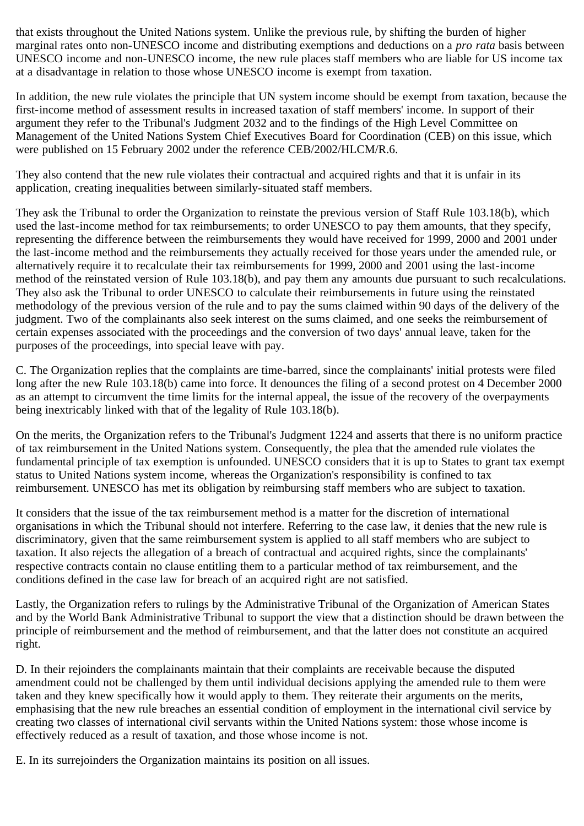that exists throughout the United Nations system. Unlike the previous rule, by shifting the burden of higher marginal rates onto non-UNESCO income and distributing exemptions and deductions on a *pro rata* basis between UNESCO income and non-UNESCO income, the new rule places staff members who are liable for US income tax at a disadvantage in relation to those whose UNESCO income is exempt from taxation.

In addition, the new rule violates the principle that UN system income should be exempt from taxation, because the first-income method of assessment results in increased taxation of staff members' income. In support of their argument they refer to the Tribunal's Judgment 2032 and to the findings of the High Level Committee on Management of the United Nations System Chief Executives Board for Coordination (CEB) on this issue, which were published on 15 February 2002 under the reference CEB/2002/HLCM/R.6.

They also contend that the new rule violates their contractual and acquired rights and that it is unfair in its application, creating inequalities between similarly-situated staff members.

They ask the Tribunal to order the Organization to reinstate the previous version of Staff Rule 103.18(b), which used the last-income method for tax reimbursements; to order UNESCO to pay them amounts, that they specify, representing the difference between the reimbursements they would have received for 1999, 2000 and 2001 under the last-income method and the reimbursements they actually received for those years under the amended rule, or alternatively require it to recalculate their tax reimbursements for 1999, 2000 and 2001 using the last-income method of the reinstated version of Rule 103.18(b), and pay them any amounts due pursuant to such recalculations. They also ask the Tribunal to order UNESCO to calculate their reimbursements in future using the reinstated methodology of the previous version of the rule and to pay the sums claimed within 90 days of the delivery of the judgment. Two of the complainants also seek interest on the sums claimed, and one seeks the reimbursement of certain expenses associated with the proceedings and the conversion of two days' annual leave, taken for the purposes of the proceedings, into special leave with pay.

C. The Organization replies that the complaints are time-barred, since the complainants' initial protests were filed long after the new Rule 103.18(b) came into force. It denounces the filing of a second protest on 4 December 2000 as an attempt to circumvent the time limits for the internal appeal, the issue of the recovery of the overpayments being inextricably linked with that of the legality of Rule 103.18(b).

On the merits, the Organization refers to the Tribunal's Judgment 1224 and asserts that there is no uniform practice of tax reimbursement in the United Nations system. Consequently, the plea that the amended rule violates the fundamental principle of tax exemption is unfounded. UNESCO considers that it is up to States to grant tax exempt status to United Nations system income, whereas the Organization's responsibility is confined to tax reimbursement. UNESCO has met its obligation by reimbursing staff members who are subject to taxation.

It considers that the issue of the tax reimbursement method is a matter for the discretion of international organisations in which the Tribunal should not interfere. Referring to the case law, it denies that the new rule is discriminatory, given that the same reimbursement system is applied to all staff members who are subject to taxation. It also rejects the allegation of a breach of contractual and acquired rights, since the complainants' respective contracts contain no clause entitling them to a particular method of tax reimbursement, and the conditions defined in the case law for breach of an acquired right are not satisfied.

Lastly, the Organization refers to rulings by the Administrative Tribunal of the Organization of American States and by the World Bank Administrative Tribunal to support the view that a distinction should be drawn between the principle of reimbursement and the method of reimbursement, and that the latter does not constitute an acquired right.

D. In their rejoinders the complainants maintain that their complaints are receivable because the disputed amendment could not be challenged by them until individual decisions applying the amended rule to them were taken and they knew specifically how it would apply to them. They reiterate their arguments on the merits, emphasising that the new rule breaches an essential condition of employment in the international civil service by creating two classes of international civil servants within the United Nations system: those whose income is effectively reduced as a result of taxation, and those whose income is not.

E. In its surrejoinders the Organization maintains its position on all issues.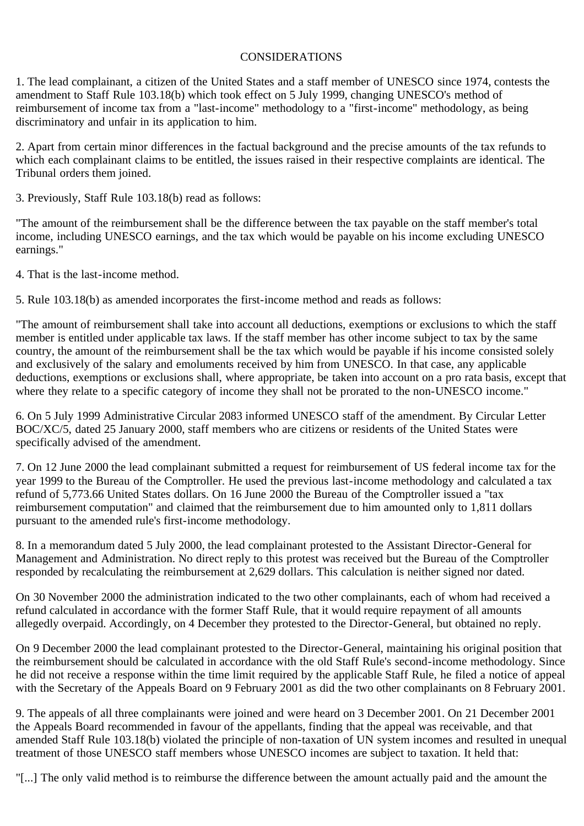# CONSIDERATIONS

1. The lead complainant, a citizen of the United States and a staff member of UNESCO since 1974, contests the amendment to Staff Rule 103.18(b) which took effect on 5 July 1999, changing UNESCO's method of reimbursement of income tax from a "last-income" methodology to a "first-income" methodology, as being discriminatory and unfair in its application to him.

2. Apart from certain minor differences in the factual background and the precise amounts of the tax refunds to which each complainant claims to be entitled, the issues raised in their respective complaints are identical. The Tribunal orders them joined.

3. Previously, Staff Rule 103.18(b) read as follows:

"The amount of the reimbursement shall be the difference between the tax payable on the staff member's total income, including UNESCO earnings, and the tax which would be payable on his income excluding UNESCO earnings."

4. That is the last-income method.

5. Rule 103.18(b) as amended incorporates the first-income method and reads as follows:

"The amount of reimbursement shall take into account all deductions, exemptions or exclusions to which the staff member is entitled under applicable tax laws. If the staff member has other income subject to tax by the same country, the amount of the reimbursement shall be the tax which would be payable if his income consisted solely and exclusively of the salary and emoluments received by him from UNESCO. In that case, any applicable deductions, exemptions or exclusions shall, where appropriate, be taken into account on a pro rata basis, except that where they relate to a specific category of income they shall not be prorated to the non-UNESCO income."

6. On 5 July 1999 Administrative Circular 2083 informed UNESCO staff of the amendment. By Circular Letter BOC/XC/5, dated 25 January 2000, staff members who are citizens or residents of the United States were specifically advised of the amendment.

7. On 12 June 2000 the lead complainant submitted a request for reimbursement of US federal income tax for the year 1999 to the Bureau of the Comptroller. He used the previous last-income methodology and calculated a tax refund of 5,773.66 United States dollars. On 16 June 2000 the Bureau of the Comptroller issued a "tax reimbursement computation" and claimed that the reimbursement due to him amounted only to 1,811 dollars pursuant to the amended rule's first-income methodology.

8. In a memorandum dated 5 July 2000, the lead complainant protested to the Assistant Director-General for Management and Administration. No direct reply to this protest was received but the Bureau of the Comptroller responded by recalculating the reimbursement at 2,629 dollars. This calculation is neither signed nor dated.

On 30 November 2000 the administration indicated to the two other complainants, each of whom had received a refund calculated in accordance with the former Staff Rule, that it would require repayment of all amounts allegedly overpaid. Accordingly, on 4 December they protested to the Director-General, but obtained no reply.

On 9 December 2000 the lead complainant protested to the Director-General, maintaining his original position that the reimbursement should be calculated in accordance with the old Staff Rule's second-income methodology. Since he did not receive a response within the time limit required by the applicable Staff Rule, he filed a notice of appeal with the Secretary of the Appeals Board on 9 February 2001 as did the two other complainants on 8 February 2001.

9. The appeals of all three complainants were joined and were heard on 3 December 2001. On 21 December 2001 the Appeals Board recommended in favour of the appellants, finding that the appeal was receivable, and that amended Staff Rule 103.18(b) violated the principle of non-taxation of UN system incomes and resulted in unequal treatment of those UNESCO staff members whose UNESCO incomes are subject to taxation. It held that:

"[...] The only valid method is to reimburse the difference between the amount actually paid and the amount the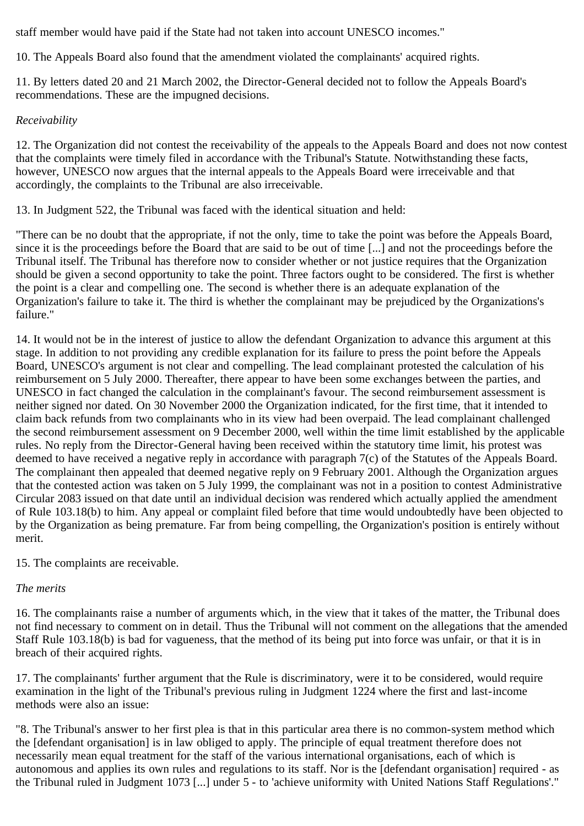staff member would have paid if the State had not taken into account UNESCO incomes."

10. The Appeals Board also found that the amendment violated the complainants' acquired rights.

11. By letters dated 20 and 21 March 2002, the Director-General decided not to follow the Appeals Board's recommendations. These are the impugned decisions.

# *Receivability*

12. The Organization did not contest the receivability of the appeals to the Appeals Board and does not now contest that the complaints were timely filed in accordance with the Tribunal's Statute. Notwithstanding these facts, however, UNESCO now argues that the internal appeals to the Appeals Board were irreceivable and that accordingly, the complaints to the Tribunal are also irreceivable.

13. In Judgment 522, the Tribunal was faced with the identical situation and held:

"There can be no doubt that the appropriate, if not the only, time to take the point was before the Appeals Board, since it is the proceedings before the Board that are said to be out of time [...] and not the proceedings before the Tribunal itself. The Tribunal has therefore now to consider whether or not justice requires that the Organization should be given a second opportunity to take the point. Three factors ought to be considered. The first is whether the point is a clear and compelling one. The second is whether there is an adequate explanation of the Organization's failure to take it. The third is whether the complainant may be prejudiced by the Organizations's failure."

14. It would not be in the interest of justice to allow the defendant Organization to advance this argument at this stage. In addition to not providing any credible explanation for its failure to press the point before the Appeals Board, UNESCO's argument is not clear and compelling. The lead complainant protested the calculation of his reimbursement on 5 July 2000. Thereafter, there appear to have been some exchanges between the parties, and UNESCO in fact changed the calculation in the complainant's favour. The second reimbursement assessment is neither signed nor dated. On 30 November 2000 the Organization indicated, for the first time, that it intended to claim back refunds from two complainants who in its view had been overpaid. The lead complainant challenged the second reimbursement assessment on 9 December 2000, well within the time limit established by the applicable rules. No reply from the Director-General having been received within the statutory time limit, his protest was deemed to have received a negative reply in accordance with paragraph 7(c) of the Statutes of the Appeals Board. The complainant then appealed that deemed negative reply on 9 February 2001. Although the Organization argues that the contested action was taken on 5 July 1999, the complainant was not in a position to contest Administrative Circular 2083 issued on that date until an individual decision was rendered which actually applied the amendment of Rule 103.18(b) to him. Any appeal or complaint filed before that time would undoubtedly have been objected to by the Organization as being premature. Far from being compelling, the Organization's position is entirely without merit.

15. The complaints are receivable.

# *The merits*

16. The complainants raise a number of arguments which, in the view that it takes of the matter, the Tribunal does not find necessary to comment on in detail. Thus the Tribunal will not comment on the allegations that the amended Staff Rule 103.18(b) is bad for vagueness, that the method of its being put into force was unfair, or that it is in breach of their acquired rights.

17. The complainants' further argument that the Rule is discriminatory, were it to be considered, would require examination in the light of the Tribunal's previous ruling in Judgment 1224 where the first and last-income methods were also an issue:

"8. The Tribunal's answer to her first plea is that in this particular area there is no common-system method which the [defendant organisation] is in law obliged to apply. The principle of equal treatment therefore does not necessarily mean equal treatment for the staff of the various international organisations, each of which is autonomous and applies its own rules and regulations to its staff. Nor is the [defendant organisation] required - as the Tribunal ruled in Judgment 1073 [...] under 5 - to 'achieve uniformity with United Nations Staff Regulations'."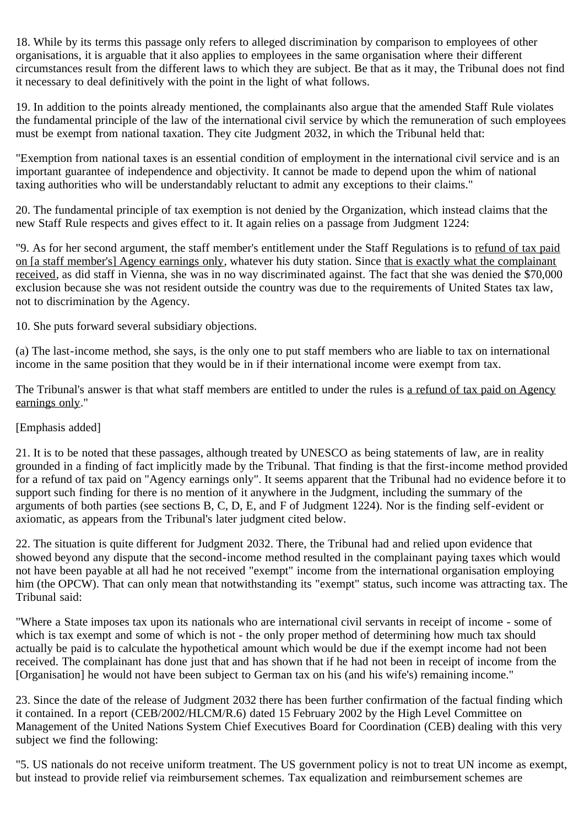18. While by its terms this passage only refers to alleged discrimination by comparison to employees of other organisations, it is arguable that it also applies to employees in the same organisation where their different circumstances result from the different laws to which they are subject. Be that as it may, the Tribunal does not find it necessary to deal definitively with the point in the light of what follows.

19. In addition to the points already mentioned, the complainants also argue that the amended Staff Rule violates the fundamental principle of the law of the international civil service by which the remuneration of such employees must be exempt from national taxation. They cite Judgment 2032, in which the Tribunal held that:

"Exemption from national taxes is an essential condition of employment in the international civil service and is an important guarantee of independence and objectivity. It cannot be made to depend upon the whim of national taxing authorities who will be understandably reluctant to admit any exceptions to their claims."

20. The fundamental principle of tax exemption is not denied by the Organization, which instead claims that the new Staff Rule respects and gives effect to it. It again relies on a passage from Judgment 1224:

"9. As for her second argument, the staff member's entitlement under the Staff Regulations is to refund of tax paid on [a staff member's] Agency earnings only, whatever his duty station. Since that is exactly what the complainant received, as did staff in Vienna, she was in no way discriminated against. The fact that she was denied the \$70,000 exclusion because she was not resident outside the country was due to the requirements of United States tax law, not to discrimination by the Agency.

10. She puts forward several subsidiary objections.

(a) The last-income method, she says, is the only one to put staff members who are liable to tax on international income in the same position that they would be in if their international income were exempt from tax.

The Tribunal's answer is that what staff members are entitled to under the rules is a refund of tax paid on Agency earnings only."

# [Emphasis added]

21. It is to be noted that these passages, although treated by UNESCO as being statements of law, are in reality grounded in a finding of fact implicitly made by the Tribunal. That finding is that the first-income method provided for a refund of tax paid on "Agency earnings only". It seems apparent that the Tribunal had no evidence before it to support such finding for there is no mention of it anywhere in the Judgment, including the summary of the arguments of both parties (see sections B, C, D, E, and F of Judgment 1224). Nor is the finding self-evident or axiomatic, as appears from the Tribunal's later judgment cited below.

22. The situation is quite different for Judgment 2032. There, the Tribunal had and relied upon evidence that showed beyond any dispute that the second-income method resulted in the complainant paying taxes which would not have been payable at all had he not received "exempt" income from the international organisation employing him (the OPCW). That can only mean that notwithstanding its "exempt" status, such income was attracting tax. The Tribunal said:

"Where a State imposes tax upon its nationals who are international civil servants in receipt of income - some of which is tax exempt and some of which is not - the only proper method of determining how much tax should actually be paid is to calculate the hypothetical amount which would be due if the exempt income had not been received. The complainant has done just that and has shown that if he had not been in receipt of income from the [Organisation] he would not have been subject to German tax on his (and his wife's) remaining income."

23. Since the date of the release of Judgment 2032 there has been further confirmation of the factual finding which it contained. In a report (CEB/2002/HLCM/R.6) dated 15 February 2002 by the High Level Committee on Management of the United Nations System Chief Executives Board for Coordination (CEB) dealing with this very subject we find the following:

"5. US nationals do not receive uniform treatment. The US government policy is not to treat UN income as exempt, but instead to provide relief via reimbursement schemes. Tax equalization and reimbursement schemes are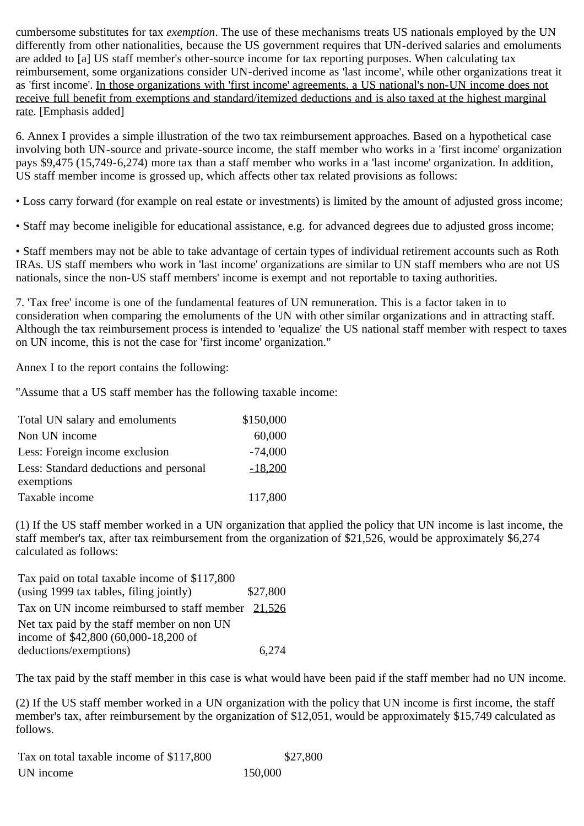cumbersome substitutes for tax *exemption*. The use of these mechanisms treats US nationals employed by the UN differently from other nationalities, because the US government requires that UN-derived salaries and emoluments are added to [a] US staff member's other-source income for tax reporting purposes. When calculating tax reimbursement, some organizations consider UN-derived income as 'last income', while other organizations treat it as 'first income'. In those organizations with 'first income' agreements, a US national's non-UN income does not receive full benefit from exemptions and standard/itemized deductions and is also taxed at the highest marginal rate. [Emphasis added]

6. Annex I provides a simple illustration of the two tax reimbursement approaches. Based on a hypothetical case involving both UN-source and private-source income, the staff member who works in a 'first income' organization pays \$9,475 (15,749-6,274) more tax than a staff member who works in a 'last income' organization. In addition, US staff member income is grossed up, which affects other tax related provisions as follows:

• Loss carry forward (for example on real estate or investments) is limited by the amount of adjusted gross income;

• Staff may become ineligible for educational assistance, e.g. for advanced degrees due to adjusted gross income;

• Staff members may not be able to take advantage of certain types of individual retirement accounts such as Roth IRAs. US staff members who work in 'last income' organizations are similar to UN staff members who are not US nationals, since the non-US staff members' income is exempt and not reportable to taxing authorities.

7. 'Tax free' income is one of the fundamental features of UN remuneration. This is a factor taken in to consideration when comparing the emoluments of the UN with other similar organizations and in attracting staff. Although the tax reimbursement process is intended to 'equalize' the US national staff member with respect to taxes on UN income, this is not the case for 'first income' organization."

Annex I to the report contains the following:

"Assume that a US staff member has the following taxable income:

| Total UN salary and emoluments         | \$150,000 |
|----------------------------------------|-----------|
| Non UN income                          | 60,000    |
| Less: Foreign income exclusion         | $-74,000$ |
| Less: Standard deductions and personal | $-18,200$ |
| exemptions                             |           |
| Taxable income                         | 117,800   |

(1) If the US staff member worked in a UN organization that applied the policy that UN income is last income, the staff member's tax, after tax reimbursement from the organization of \$21,526, would be approximately \$6,274 calculated as follows:

| Tax paid on total taxable income of \$117,800        |          |
|------------------------------------------------------|----------|
| (using 1999 tax tables, filing jointly)              | \$27,800 |
| Tax on UN income reimbursed to staff member $21,526$ |          |
| Net tax paid by the staff member on non UN           |          |
| income of \$42,800 (60,000-18,200 of                 |          |
| deductions/exemptions)                               | 6.274    |

The tax paid by the staff member in this case is what would have been paid if the staff member had no UN income.

(2) If the US staff member worked in a UN organization with the policy that UN income is first income, the staff member's tax, after reimbursement by the organization of \$12,051, would be approximately \$15,749 calculated as follows.

| Tax on total taxable income of \$117,800 | \$27,800 |
|------------------------------------------|----------|
| UN income                                | 150,000  |